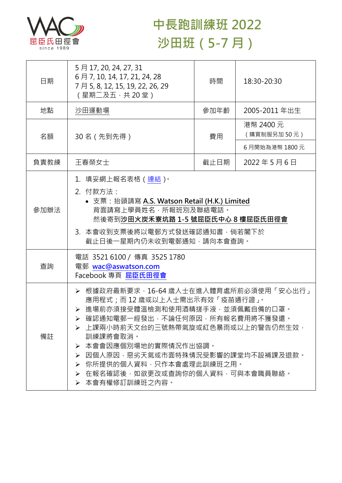

## **中長跑訓練班 2022 沙田班(5-7 月)**

| 日期   | 5月17, 20, 24, 27, 31<br>6月7, 10, 14, 17, 21, 24, 28<br>7月5, 8, 12, 15, 19, 22, 26, 29<br>(星期二及五,共20堂)                                                                                                                                                                                                                                                        | 時間   | 18:30-20:30              |  |
|------|--------------------------------------------------------------------------------------------------------------------------------------------------------------------------------------------------------------------------------------------------------------------------------------------------------------------------------------------------------------|------|--------------------------|--|
| 地點   | 沙田運動場                                                                                                                                                                                                                                                                                                                                                        | 參加年齡 | 2005-2011 年出生            |  |
| 名額   | 30 名 (先到先得)                                                                                                                                                                                                                                                                                                                                                  | 費用   | 港幣 2400 元<br>(購買制服另加50元) |  |
|      |                                                                                                                                                                                                                                                                                                                                                              |      | 6月開始為港幣 1800元            |  |
| 負責教練 | 王春榮女士                                                                                                                                                                                                                                                                                                                                                        | 截止日期 | 2022年5月6日                |  |
| 參加辦法 | 1.填妥網上報名表格(連結) <sup>。</sup><br>2. 付款方法:<br>• 支票: 抬頭請寫 A.S. Watson Retail (H.K.) Limited<br>背面請寫上學員姓名,所報班別及聯絡電話。<br>然後寄到沙田火炭禾寮坑路 1-5 號屈臣氏中心 8 樓屈臣氏田徑會<br>3. 本會收到支票後將以電郵方式發送確認通知書, 倘若閣下於<br>截止日後一星期內仍未收到電郵通知,請向本會查詢。                                                                                                                                           |      |                          |  |
| 查詢   | 電話 35216100 / 傳真 3525 1780<br>電郵 wac@aswatson.com<br>Facebook 專頁 屈臣氏田徑會                                                                                                                                                                                                                                                                                      |      |                          |  |
| 備註   | ▶ 根據政府最新要求,16-64 歲人士在進入體育處所前必須使用「安心出行」<br>應用程式;而 12 歲或以上人士需出示有效「疫苗通行證」。<br>> 進場前亦須接受體溫檢測和使用酒精搓手液,並須佩戴自備的口罩。<br>確認通知電郵一經發出,不論任何原因,所有報名費用將不獲發還。<br>上課兩小時前天文台的三號熱帶氣旋或紅色暴雨或以上的警告仍然生效,<br>訓練課將會取消。<br>本會會因應個別場地的實際情況作出協調。<br>➤<br>因個人原因,惡劣天氣或市面特殊情況受影響的課堂均不設補課及退款。<br>≻<br>> 你所提供的個人資料,只作本會處理此訓練班之用。<br>在報名確認後,如欲更改或查詢你的個人資料,可與本會職員聯絡。<br>➤<br>本會有權修訂訓練班之內容。<br>≻ |      |                          |  |